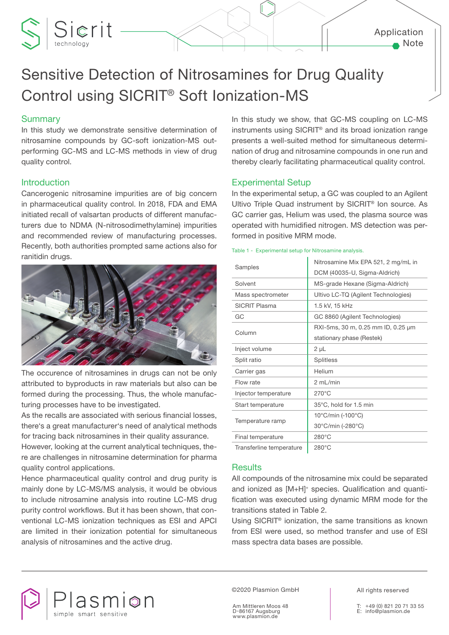### Application Note

# Sensitive Detection of Nitrosamines for Drug Quality Control using SICRIT® Soft Ionization-MS

# **Summary**

Sierit

In this study we demonstrate sensitive determination of nitrosamine compounds by GC-soft ionization-MS outperforming GC-MS and LC-MS methods in view of drug quality control.

#### **Introduction**

Cancerogenic nitrosamine impurities are of big concern in pharmaceutical quality control. In 2018, FDA and EMA initiated recall of valsartan products of different manufacturers due to NDMA (N-nitrosodimethylamine) impurities and recommended review of manufacturing processes. Recently, both authorities prompted same actions also for ranitidin drugs.



The occurence of nitrosamines in drugs can not be only attributed to byproducts in raw materials but also can be formed during the processing. Thus, the whole manufacturing processes have to be investigated.

As the recalls are associated with serious financial losses, there's a great manufacturer's need of analytical methods for tracing back nitrosamines in their quality assurance.

However, looking at the current analytical techniques, there are challenges in nitrosamine determination for pharma quality control applications.

Hence pharmaceutical quality control and drug purity is mainly done by LC-MS/MS analysis, it would be obvious to include nitrosamine analysis into routine LC-MS drug purity control workflows. But it has been shown, that conventional LC-MS ionization techniques as ESI and APCI are limited in their ionization potential for simultaneous analysis of nitrosamines and the active drug.

In this study we show, that GC-MS coupling on LC-MS instruments using SICRIT® and its broad ionization range presents a well-suited method for simultaneous determination of drug and nitrosamine compounds in one run and thereby clearly facilitating pharmaceutical quality control.

#### Experimental Setup

In the experimental setup, a GC was coupled to an Agilent Ultivo Triple Quad instrument by SICRIT® Ion source. As GC carrier gas, Helium was used, the plasma source was operated with humidified nitrogen. MS detection was performed in positive MRM mode.

|                          | Nitrosamine Mix EPA 521, 2 mg/mL in |  |  |  |
|--------------------------|-------------------------------------|--|--|--|
| Samples                  | DCM (40035-U, Sigma-Aldrich)        |  |  |  |
| Solvent                  | MS-grade Hexane (Sigma-Aldrich)     |  |  |  |
| Mass spectrometer        | Ultivo LC-TQ (Agilent Technologies) |  |  |  |
| <b>SICRIT Plasma</b>     | 1.5 kV, 15 kHz                      |  |  |  |
| GC                       | GC 8860 (Agilent Technologies)      |  |  |  |
| Column                   | RXI-5ms, 30 m, 0.25 mm ID, 0.25 µm  |  |  |  |
|                          | stationary phase (Restek)           |  |  |  |
| Inject volume            | $2 \mu L$                           |  |  |  |
| Split ratio              | <b>Splitless</b>                    |  |  |  |
| Carrier gas              | Helium                              |  |  |  |
| Flow rate                | 2 mL/min                            |  |  |  |
| Injector temperature     | $270^{\circ}$ C                     |  |  |  |
| Start temperature        | 35°C, hold for 1.5 min              |  |  |  |
|                          | 10°C/min (-100°C)                   |  |  |  |
| Temperature ramp         | 30°C/min (-280°C)                   |  |  |  |
| Final temperature        | $280^{\circ}$ C                     |  |  |  |
| Transferline temperature | $280^{\circ}$ C                     |  |  |  |

#### Table 1 - Experimental setup for Nitrosamine analysis.

#### **Results**

All compounds of the nitrosamine mix could be separated and ionized as [M+H]<sup>+</sup> species. Qualification and quantification was executed using dynamic MRM mode for the transitions stated in Table 2.

Using SICRIT® ionization, the same transitions as known from ESI were used, so method transfer and use of ESI mass spectra data bases are possible.



©2020 Plasmion GmbH

Am Mittleren Moos 48 D-86167 Augsburg www.plasmion.de

All rights reserved

+49 (0) 821 20 71 33 55 E: info@plasmion.de